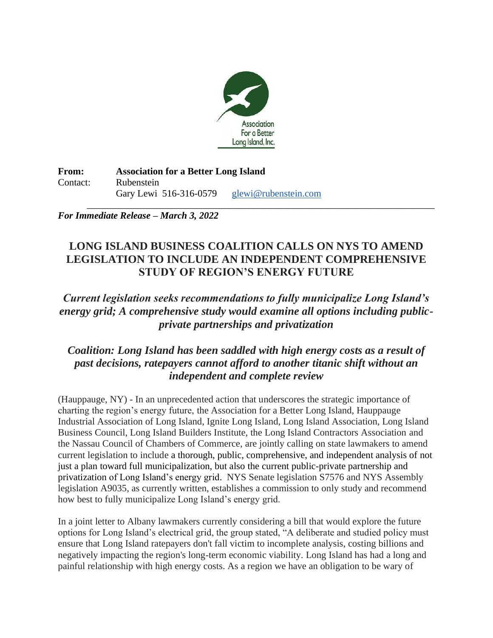

**From: Association for a Better Long Island** Contact: Rubenstein Gary Lewi 516-316-0579 [glewi@rubenstein.com](mailto:glewi@rubenstein.com)

\_\_\_\_\_\_\_\_\_\_\_\_\_\_\_\_\_\_\_\_\_\_\_\_\_\_\_\_\_\_\_\_\_\_\_\_\_\_\_\_\_\_\_\_\_\_\_\_\_\_\_\_\_\_\_\_\_\_\_\_\_\_\_\_\_\_\_\_\_\_\_\_ *For Immediate Release – March 3, 2022*

## **LONG ISLAND BUSINESS COALITION CALLS ON NYS TO AMEND LEGISLATION TO INCLUDE AN INDEPENDENT COMPREHENSIVE STUDY OF REGION'S ENERGY FUTURE**

## *Current legislation seeks recommendations to fully municipalize Long Island's energy grid; A comprehensive study would examine all options including publicprivate partnerships and privatization*

## *Coalition: Long Island has been saddled with high energy costs as a result of past decisions, ratepayers cannot afford to another titanic shift without an independent and complete review*

(Hauppauge, NY) - In an unprecedented action that underscores the strategic importance of charting the region's energy future, the Association for a Better Long Island, Hauppauge Industrial Association of Long Island, Ignite Long Island, Long Island Association, Long Island Business Council, Long Island Builders Institute, the Long Island Contractors Association and the Nassau Council of Chambers of Commerce, are jointly calling on state lawmakers to amend current legislation to include a thorough, public, comprehensive, and independent analysis of not just a plan toward full municipalization, but also the current public-private partnership and privatization of Long Island's energy grid. NYS Senate legislation S7576 and NYS Assembly legislation A9035, as currently written, establishes a commission to only study and recommend how best to fully municipalize Long Island's energy grid.

In a joint letter to Albany lawmakers currently considering a bill that would explore the future options for Long Island's electrical grid, the group stated, "A deliberate and studied policy must ensure that Long Island ratepayers don't fall victim to incomplete analysis, costing billions and negatively impacting the region's long-term economic viability. Long Island has had a long and painful relationship with high energy costs. As a region we have an obligation to be wary of